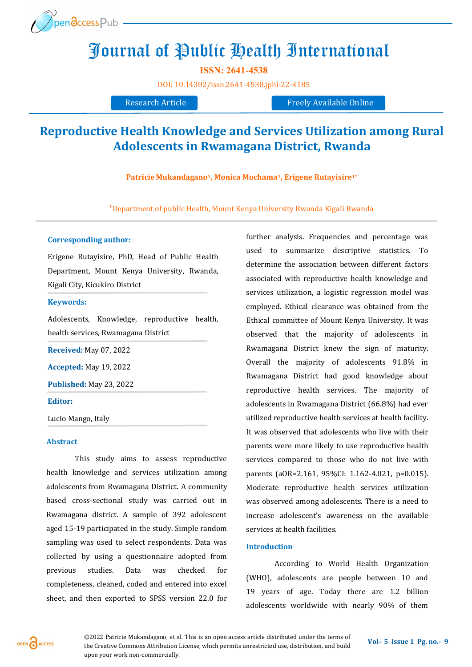

# Journal of Public Health International

**ISSN: 2641-4538** 

[DOI:](https://doi.org/10.14302/issn.2639-3166.jar-21-3872) [10.14302/issn.2641](https://doi.org/10.14302/issn.2641-4538.jphi-22-4185)-4538.jphi-22-4185

Research Article Freely Available Online

# **Reproductive Health Knowledge and Services Utilization among Rural Adolescents in Rwamagana District, Rwanda**

**Patricie Mukandagano1, Monica Mochama1, Erigene Rutayisire1\***

<sup>1</sup>Department of public Health, Mount Kenya University Rwanda Kigali Rwanda

#### **Corresponding author:**

Erigene Rutayisire, PhD, Head of Public Health Department, Mount Kenya University, Rwanda, Kigali City, Kicukiro District

#### **Keywords:**

Adolescents, Knowledge, reproductive health, health services, Rwamagana District

**Received:** May 07, 2022

**Accepted:** May 19, 2022

**Published:** May 23, 2022

#### **Editor:**

Lucio Mango, Italy

#### **Abstract**

This study aims to assess reproductive health knowledge and services utilization among adolescents from Rwamagana District. A community based cross-sectional study was carried out in Rwamagana district. A sample of 392 adolescent aged 15-19 participated in the study. Simple random sampling was used to select respondents. Data was collected by using a questionnaire adopted from previous studies. Data was checked for completeness, cleaned, coded and entered into excel sheet, and then exported to SPSS version 22.0 for

further analysis. Frequencies and percentage was used to summarize descriptive statistics. To determine the association between different factors associated with reproductive health knowledge and services utilization, a logistic regression model was employed. Ethical clearance was obtained from the Ethical committee of Mount Kenya University. It was observed that the majority of adolescents in Rwamagana District knew the sign of maturity. Overall the majority of adolescents 91.8% in Rwamagana District had good knowledge about reproductive health services. The majority of adolescents in Rwamagana District (66.8%) had ever utilized reproductive health services at health facility. It was observed that adolescents who live with their parents were more likely to use reproductive health services compared to those who do not live with parents (aOR=2.161, 95%CI: 1.162-4.021, p=0.015). Moderate reproductive health services utilization was observed among adolescents. There is a need to increase adolescent's awareness on the available services at health facilities.

#### **Introduction**

According to World Health Organization (WHO), adolescents are people between 10 and 19 years of age. Today there are 1.2 billion adolescents worldwide with nearly 90% of them

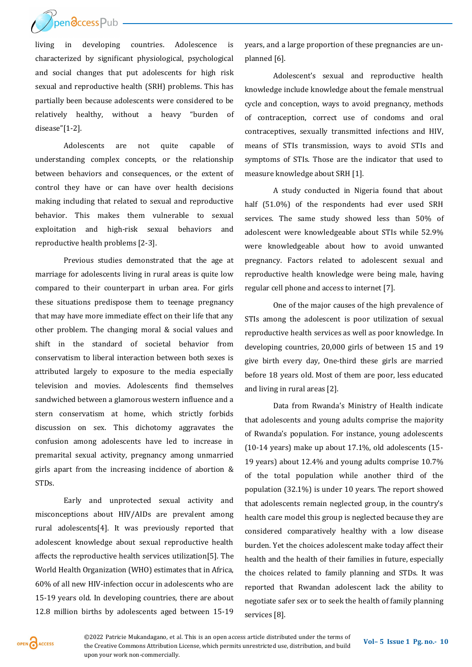

living in developing countries. Adolescence is characterized by significant physiological, psychological and social changes that put adolescents for high risk sexual and reproductive health (SRH) problems. This has partially been because adolescents were considered to be relatively healthy, without a heavy "burden of disease"[1-2].

Adolescents are not quite capable of understanding complex concepts, or the relationship between behaviors and consequences, or the extent of control they have or can have over health decisions making including that related to sexual and reproductive behavior. This makes them vulnerable to sexual exploitation and high-risk sexual behaviors and reproductive health problems [2-3].

Previous studies demonstrated that the age at marriage for adolescents living in rural areas is quite low compared to their counterpart in urban area. For girls these situations predispose them to teenage pregnancy that may have more immediate effect on their life that any other problem. The changing moral & social values and shift in the standard of societal behavior from conservatism to liberal interaction between both sexes is attributed largely to exposure to the media especially television and movies. Adolescents find themselves sandwiched between a glamorous western influence and a stern conservatism at home, which strictly forbids discussion on sex. This dichotomy aggravates the confusion among adolescents have led to increase in premarital sexual activity, pregnancy among unmarried girls apart from the increasing incidence of abortion & STDs.

Early and unprotected sexual activity and misconceptions about HIV/AIDs are prevalent among rural adolescents[4]. It was previously reported that adolescent knowledge about sexual reproductive health affects the reproductive health services utilization[5]. The World Health Organization (WHO) estimates that in Africa, 60% of all new HIV-infection occur in adolescents who are 15-19 years old. In developing countries, there are about 12.8 million births by adolescents aged between 15-19

years, and a large proportion of these pregnancies are unplanned [6].

Adolescent's sexual and reproductive health knowledge include knowledge about the female menstrual cycle and conception, ways to avoid pregnancy, methods of contraception, correct use of condoms and oral contraceptives, sexually transmitted infections and HIV, means of STIs transmission, ways to avoid STIs and symptoms of STIs. Those are the indicator that used to measure knowledge about SRH [1].

A study conducted in Nigeria found that about half (51.0%) of the respondents had ever used SRH services. The same study showed less than 50% of adolescent were knowledgeable about STIs while 52.9% were knowledgeable about how to avoid unwanted pregnancy. Factors related to adolescent sexual and reproductive health knowledge were being male, having regular cell phone and access to internet [7].

One of the major causes of the high prevalence of STIs among the adolescent is poor utilization of sexual reproductive health services as well as poor knowledge. In developing countries, 20,000 girls of between 15 and 19 give birth every day, One-third these girls are married before 18 years old. Most of them are poor, less educated and living in rural areas [2].

Data from Rwanda's Ministry of Health indicate that adolescents and young adults comprise the majority of Rwanda's population. For instance, young adolescents (10-14 years) make up about 17.1%, old adolescents (15- 19 years) about 12.4% and young adults comprise 10.7% of the total population while another third of the population (32.1%) is under 10 years. The report showed that adolescents remain neglected group, in the country's health care model this group is neglected because they are considered comparatively healthy with a low disease burden. Yet the choices adolescent make today affect their health and the health of their families in future, especially the choices related to family planning and STDs. It was reported that Rwandan adolescent lack the ability to negotiate safer sex or to seek the health of family planning services [8].

OPEN CACCESS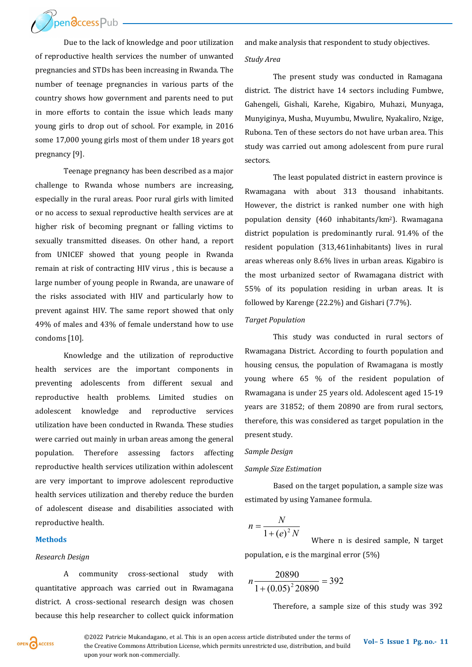**ThendccessPub** 

Due to the lack of knowledge and poor utilization of reproductive health services the number of unwanted pregnancies and STDs has been increasing in Rwanda. The number of teenage pregnancies in various parts of the country shows how government and parents need to put in more efforts to contain the issue which leads many young girls to drop out of school. For example, in 2016 some 17,000 young girls most of them under 18 years got pregnancy [9].

Teenage pregnancy has been described as a major challenge to Rwanda whose numbers are increasing, especially in the rural areas. Poor rural girls with limited or no access to sexual reproductive health services are at higher risk of becoming pregnant or falling victims to sexually transmitted diseases. On other hand, a report from UNICEF showed that young people in Rwanda remain at risk of contracting HIV virus , this is because a large number of young people in Rwanda, are unaware of the risks associated with HIV and particularly how to prevent against HIV. The same report showed that only 49% of males and 43% of female understand how to use condoms [10].

Knowledge and the utilization of reproductive health services are the important components in preventing adolescents from different sexual and reproductive health problems. Limited studies on adolescent knowledge and reproductive services utilization have been conducted in Rwanda. These studies were carried out mainly in urban areas among the general population. Therefore assessing factors affecting reproductive health services utilization within adolescent are very important to improve adolescent reproductive health services utilization and thereby reduce the burden of adolescent disease and disabilities associated with reproductive health.

#### **Methods**

#### *Research Design*

A community cross-sectional study with quantitative approach was carried out in Rwamagana district. A cross-sectional research design was chosen because this help researcher to collect quick information and make analysis that respondent to study objectives.

#### *Study Area*

The present study was conducted in Ramagana district. The district have 14 sectors including Fumbwe, Gahengeli, Gishali, Karehe, Kigabiro, Muhazi, Munyaga, Munyiginya, Musha, Muyumbu, Mwulire, Nyakaliro, Nzige, Rubona. Ten of these sectors do not have urban area. This study was carried out among adolescent from pure rural sectors.

The least populated district in eastern province is Rwamagana with about 313 thousand inhabitants. However, the district is ranked number one with high population density (460 inhabitants/km2). Rwamagana district population is predominantly rural. 91.4% of the resident population (313,461inhabitants) lives in rural areas whereas only 8.6% lives in urban areas. Kigabiro is the most urbanized sector of Rwamagana district with 55% of its population residing in urban areas. It is followed by Karenge (22.2%) and Gishari (7.7%).

#### *Target Population*

This study was conducted in rural sectors of Rwamagana District. According to fourth population and housing census, the population of Rwamagana is mostly young where 65 % of the resident population of Rwamagana is under 25 years old. Adolescent aged 15-19 years are 31852; of them 20890 are from rural sectors, therefore, this was considered as target population in the present study.

#### *Sample Design*

#### *Sample Size Estimation*

Based on the target population, a sample size was estimated by using Yamanee formula.

$$
n = \frac{N}{1 + (e)^2 N}
$$

 $(e)^2 N$  Where n is desired sample, N target population, e is the marginal error (5%)

$$
n\frac{20890}{1 + (0.05)^2 20890} = 392
$$

Therefore, a sample size of this study was 392



**©2022 Patricie Mukandagano, et al. This is an open access article distributed under the terms of <b>Vol–5** Issue 1 Pg. no.- 11 the Creative Commons Attribution License, which permits unrestricted use, distribution, and build upon your work non-commercially.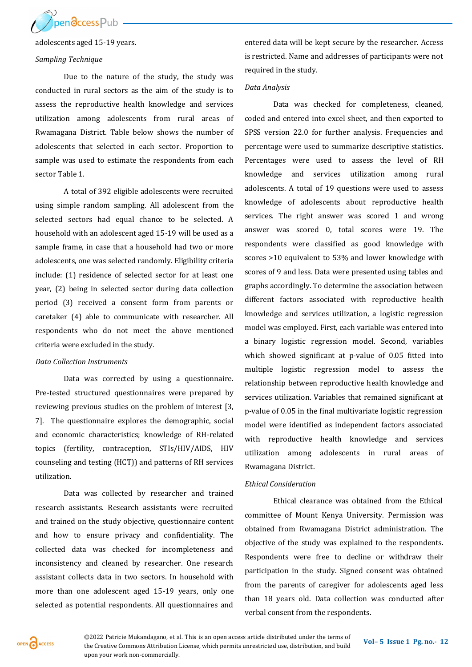

adolescents aged 15-19 years.

#### *Sampling Technique*

Due to the nature of the study, the study was conducted in rural sectors as the aim of the study is to assess the reproductive health knowledge and services utilization among adolescents from rural areas of Rwamagana District. Table below shows the number of adolescents that selected in each sector. Proportion to sample was used to estimate the respondents from each sector Table 1.

A total of 392 eligible adolescents were recruited using simple random sampling. All adolescent from the selected sectors had equal chance to be selected. A household with an adolescent aged 15-19 will be used as a sample frame, in case that a household had two or more adolescents, one was selected randomly. Eligibility criteria include: (1) residence of selected sector for at least one year, (2) being in selected sector during data collection period (3) received a consent form from parents or caretaker (4) able to communicate with researcher. All respondents who do not meet the above mentioned criteria were excluded in the study.

#### *Data Collection Instruments*

Data was corrected by using a questionnaire. Pre-tested structured questionnaires were prepared by reviewing previous studies on the problem of interest [3, 7]. The questionnaire explores the demographic, social and economic characteristics; knowledge of RH-related topics (fertility, contraception, STIs/HIV/AIDS, HIV counseling and testing (HCT)) and patterns of RH services utilization.

Data was collected by researcher and trained research assistants. Research assistants were recruited and trained on the study objective, questionnaire content and how to ensure privacy and confidentiality. The collected data was checked for incompleteness and inconsistency and cleaned by researcher. One research assistant collects data in two sectors. In household with more than one adolescent aged 15-19 years, only one selected as potential respondents. All questionnaires and

entered data will be kept secure by the researcher. Access is restricted. Name and addresses of participants were not required in the study.

#### *Data Analysis*

Data was checked for completeness, cleaned, coded and entered into excel sheet, and then exported to SPSS version 22.0 for further analysis. Frequencies and percentage were used to summarize descriptive statistics. Percentages were used to assess the level of RH knowledge and services utilization among rural adolescents. A total of 19 questions were used to assess knowledge of adolescents about reproductive health services. The right answer was scored 1 and wrong answer was scored 0, total scores were 19. The respondents were classified as good knowledge with scores >10 equivalent to 53% and lower knowledge with scores of 9 and less. Data were presented using tables and graphs accordingly. To determine the association between different factors associated with reproductive health knowledge and services utilization, a logistic regression model was employed. First, each variable was entered into a binary logistic regression model. Second, variables which showed significant at p-value of 0.05 fitted into multiple logistic regression model to assess the relationship between reproductive health knowledge and services utilization. Variables that remained significant at p-value of 0.05 in the final multivariate logistic regression model were identified as independent factors associated with reproductive health knowledge and services utilization among adolescents in rural areas of Rwamagana District.

#### *Ethical Consideration*

Ethical clearance was obtained from the Ethical committee of Mount Kenya University. Permission was obtained from Rwamagana District administration. The objective of the study was explained to the respondents. Respondents were free to decline or withdraw their participation in the study. Signed consent was obtained from the parents of caregiver for adolescents aged less than 18 years old. Data collection was conducted after verbal consent from the respondents.

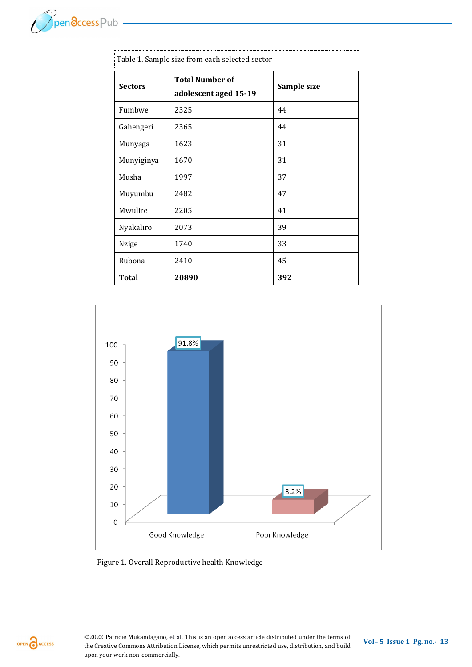

| Table 1. Sample size from each selected sector |                                                 |             |
|------------------------------------------------|-------------------------------------------------|-------------|
| <b>Sectors</b>                                 | <b>Total Number of</b><br>adolescent aged 15-19 | Sample size |
| Fumbwe                                         | 2325                                            | 44          |
| Gahengeri                                      | 2365                                            | 44          |
| Munyaga                                        | 1623                                            | 31          |
| Munyiginya                                     | 1670                                            | 31          |
| Musha                                          | 1997                                            | 37          |
| Muyumbu                                        | 2482                                            | 47          |
| Mwulire                                        | 2205                                            | 41          |
| Nyakaliro                                      | 2073                                            | 39          |
| Nzige                                          | 1740                                            | 33          |
| Rubona                                         | 2410                                            | 45          |
| <b>Total</b>                                   | 20890                                           | 392         |

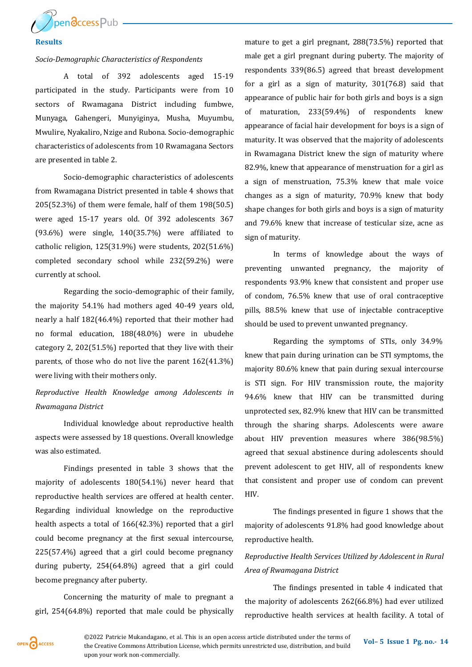

#### **Results**

#### *Socio-Demographic Characteristics of Respondents*

A total of 392 adolescents aged 15-19 participated in the study. Participants were from 10 sectors of Rwamagana District including fumbwe, Munyaga, Gahengeri, Munyiginya, Musha, Muyumbu, Mwulire, Nyakaliro, Nzige and Rubona. Socio-demographic characteristics of adolescents from 10 Rwamagana Sectors are presented in table 2.

Socio-demographic characteristics of adolescents from Rwamagana District presented in table 4 shows that 205(52.3%) of them were female, half of them 198(50.5) were aged 15-17 years old. Of 392 adolescents 367 (93.6%) were single, 140(35.7%) were affiliated to catholic religion, 125(31.9%) were students, 202(51.6%) completed secondary school while 232(59.2%) were currently at school.

Regarding the socio-demographic of their family, the majority 54.1% had mothers aged 40-49 years old, nearly a half 182(46.4%) reported that their mother had no formal education, 188(48.0%) were in ubudehe category 2, 202(51.5%) reported that they live with their parents, of those who do not live the parent 162(41.3%) were living with their mothers only.

## *Reproductive Health Knowledge among Adolescents in Rwamagana District*

Individual knowledge about reproductive health aspects were assessed by 18 questions. Overall knowledge was also estimated.

Findings presented in table 3 shows that the majority of adolescents 180(54.1%) never heard that reproductive health services are offered at health center. Regarding individual knowledge on the reproductive health aspects a total of 166(42.3%) reported that a girl could become pregnancy at the first sexual intercourse, 225(57.4%) agreed that a girl could become pregnancy during puberty, 254(64.8%) agreed that a girl could become pregnancy after puberty.

Concerning the maturity of male to pregnant a girl, 254(64.8%) reported that male could be physically mature to get a girl pregnant, 288(73.5%) reported that male get a girl pregnant during puberty. The majority of respondents 339(86.5) agreed that breast development for a girl as a sign of maturity, 301(76.8) said that appearance of public hair for both girls and boys is a sign of maturation, 233(59.4%) of respondents knew appearance of facial hair development for boys is a sign of maturity. It was observed that the majority of adolescents in Rwamagana District knew the sign of maturity where 82.9%, knew that appearance of menstruation for a girl as a sign of menstruation, 75.3% knew that male voice changes as a sign of maturity, 70.9% knew that body shape changes for both girls and boys is a sign of maturity and 79.6% knew that increase of testicular size, acne as sign of maturity.

In terms of knowledge about the ways of preventing unwanted pregnancy, the majority of respondents 93.9% knew that consistent and proper use of condom, 76.5% knew that use of oral contraceptive pills, 88.5% knew that use of injectable contraceptive should be used to prevent unwanted pregnancy.

Regarding the symptoms of STIs, only 34.9% knew that pain during urination can be STI symptoms, the majority 80.6% knew that pain during sexual intercourse is STI sign. For HIV transmission route, the majority 94.6% knew that HIV can be transmitted during unprotected sex, 82.9% knew that HIV can be transmitted through the sharing sharps. Adolescents were aware about HIV prevention measures where 386(98.5%) agreed that sexual abstinence during adolescents should prevent adolescent to get HIV, all of respondents knew that consistent and proper use of condom can prevent HIV.

The findings presented in figure 1 shows that the majority of adolescents 91.8% had good knowledge about reproductive health.

## *Reproductive Health Services Utilized by Adolescent in Rural Area of Rwamagana District*

The findings presented in table 4 indicated that the majority of adolescents 262(66.8%) had ever utilized reproductive health services at health facility. A total of



*C2022 Patricie Mukandagano, et al. This is an open access article distributed under the terms of <b>Vol– 5 Issue 1 Pg. no.- 14* the Creative Commons Attribution License, which permits unrestricted use, distribution, and build upon your work non-commercially.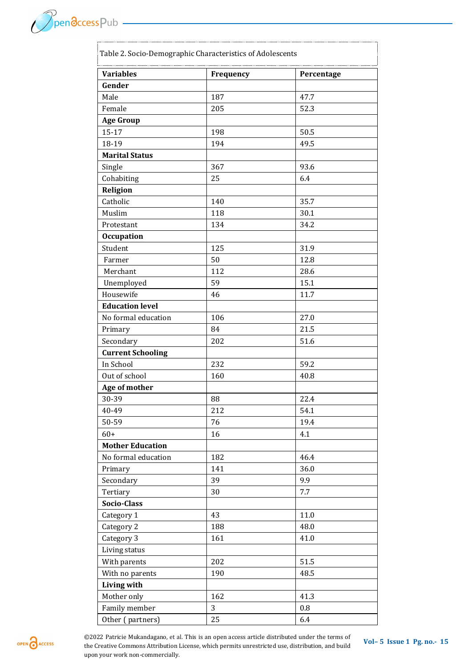$\mathcal{P}_{\text{pen} \overline{\text{G} \text{ccess}} \text{Pub}}$ 

| <b>Variables</b>         | Frequency | Percentage |
|--------------------------|-----------|------------|
| Gender                   |           |            |
| Male                     | 187       | 47.7       |
| Female                   | 205       | 52.3       |
| <b>Age Group</b>         |           |            |
| $15 - 17$                | 198       | 50.5       |
| 18-19                    | 194       | 49.5       |
| <b>Marital Status</b>    |           |            |
| Single                   | 367       | 93.6       |
| Cohabiting               | 25        | 6.4        |
| Religion                 |           |            |
| Catholic                 | 140       | 35.7       |
| Muslim                   | 118       | 30.1       |
| Protestant               | 134       | 34.2       |
| <b>Occupation</b>        |           |            |
| Student                  | 125       | 31.9       |
| Farmer                   | 50        | 12.8       |
| Merchant                 | 112       | 28.6       |
| Unemployed               | 59        | 15.1       |
| Housewife                | 46        | 11.7       |
| <b>Education level</b>   |           |            |
| No formal education      | 106       | 27.0       |
| Primary                  | 84        | 21.5       |
| Secondary                | 202       | 51.6       |
| <b>Current Schooling</b> |           |            |
| In School                | 232       | 59.2       |
| Out of school            | 160       | 40.8       |
| Age of mother            |           |            |
| 30-39                    | 88        | 22.4       |
| 40-49                    | 212       | 54.1       |
| 50-59                    | 76        | 19.4       |
| $60+$                    | 16        | 4.1        |
| <b>Mother Education</b>  |           |            |
| No formal education      | 182       | 46.4       |
| Primary                  | 141       | 36.0       |
| Secondary                | 39        | 9.9        |
| Tertiary                 | 30        | 7.7        |
| Socio-Class              |           |            |
| Category 1               | 43        | 11.0       |
| Category 2               | 188       | 48.0       |
| Category 3               | 161       | 41.0       |
| Living status            |           |            |
| With parents             | 202       | 51.5       |
| With no parents          | 190       | 48.5       |
| <b>Living with</b>       |           |            |
| Mother only              | 162       | 41.3       |
| Family member            | 3         | 0.8        |
| Other (partners)         | 25        | 6.4        |

OPEN CACCESS

*C2022 Patricie Mukandagano, et al. This is an open access article distributed under the terms of <b>Vol– 5 Issue 1 Pg. no.- 15* the Creative Commons Attribution License, which permits unrestricted use, distribution, and build upon your work non-commercially.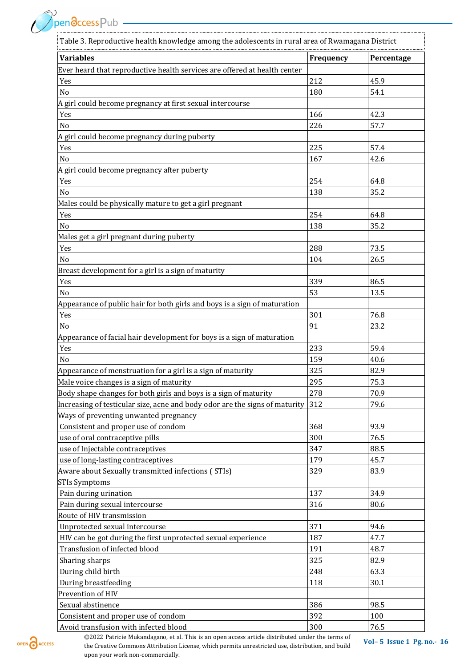PpendccessPub ———————————

| Table 3. Reproductive health knowledge among the adolescents in rural area of Rwamagana District |                  |            |
|--------------------------------------------------------------------------------------------------|------------------|------------|
| <b>Variables</b>                                                                                 | <b>Frequency</b> | Percentage |
| Ever heard that reproductive health services are offered at health center                        |                  |            |
| Yes                                                                                              | 212              | 45.9       |
| No                                                                                               | 180              | 54.1       |
| A girl could become pregnancy at first sexual intercourse                                        |                  |            |
| Yes                                                                                              | 166              | 42.3       |
| No                                                                                               | 226              | 57.7       |
| A girl could become pregnancy during puberty                                                     |                  |            |
| Yes                                                                                              | 225              | 57.4       |
| No                                                                                               | 167              | 42.6       |
| A girl could become pregnancy after puberty                                                      |                  |            |
| Yes                                                                                              | 254              | 64.8       |
| No                                                                                               | 138              | 35.2       |
| Males could be physically mature to get a girl pregnant                                          |                  |            |
| Yes                                                                                              | 254              | 64.8       |
| No                                                                                               | 138              | 35.2       |
| Males get a girl pregnant during puberty                                                         |                  |            |
| Yes                                                                                              | 288              | 73.5       |
| No                                                                                               | 104              | 26.5       |
| Breast development for a girl is a sign of maturity                                              |                  |            |
| Yes                                                                                              | 339              | 86.5       |
| No                                                                                               | 53               | 13.5       |
| Appearance of public hair for both girls and boys is a sign of maturation                        |                  |            |
| Yes                                                                                              | 301              | 76.8       |
| No                                                                                               | 91               | 23.2       |
| Appearance of facial hair development for boys is a sign of maturation                           |                  |            |
| Yes                                                                                              | 233              | 59.4       |
| N <sub>0</sub>                                                                                   | 159              | 40.6       |
| Appearance of menstruation for a girl is a sign of maturity                                      | 325              | 82.9       |
| Male voice changes is a sign of maturity                                                         | 295              | 75.3       |
| Body shape changes for both girls and boys is a sign of maturity                                 | 278              | 70.9       |
| Increasing of testicular size, acne and body odor are the signs of maturity                      | 312              | 79.6       |
| Ways of preventing unwanted pregnancy                                                            |                  |            |
| Consistent and proper use of condom                                                              | 368              | 93.9       |
| use of oral contraceptive pills                                                                  | 300              | 76.5       |
| use of Injectable contraceptives                                                                 | 347              | 88.5       |
| use of long-lasting contraceptives                                                               | 179              | 45.7       |
| Aware about Sexually transmitted infections (STIs)                                               | 329              | 83.9       |
| <b>STIs Symptoms</b>                                                                             |                  |            |
|                                                                                                  | 137              | 34.9       |
| Pain during urination                                                                            | 316              | 80.6       |
| Pain during sexual intercourse                                                                   |                  |            |
| Route of HIV transmission                                                                        | 371              | 94.6       |
| Unprotected sexual intercourse                                                                   |                  |            |
| HIV can be got during the first unprotected sexual experience                                    | 187              | 47.7       |
| Transfusion of infected blood                                                                    | 191              | 48.7       |
| Sharing sharps                                                                                   | 325              | 82.9       |
| During child birth                                                                               | 248              | 63.3       |
| During breastfeeding                                                                             | 118              | 30.1       |
| Prevention of HIV                                                                                |                  |            |
| Sexual abstinence                                                                                | 386              | 98.5       |
| Consistent and proper use of condom                                                              | 392              | 100        |
| Avoid transfusion with infected blood                                                            | 300              | 76.5       |



**©2022 Patricie Mukandagano, et al. This is an open access article distributed under the terms of <b>Vol–5** Issue 1 Pg. no.- 16 the Creative Commons Attribution License, which permits unrestricted use, distribution, and build upon your work non-commercially.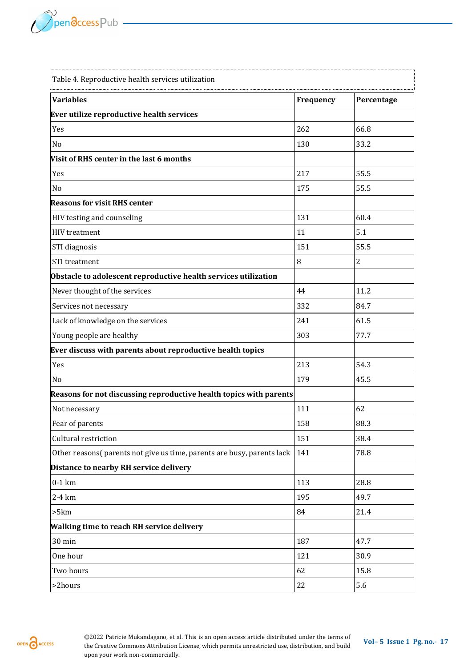

| Table 4. Reproductive health services utilization                      |           |                |
|------------------------------------------------------------------------|-----------|----------------|
| <b>Variables</b>                                                       | Frequency | Percentage     |
| Ever utilize reproductive health services                              |           |                |
| Yes                                                                    | 262       | 66.8           |
| No                                                                     | 130       | 33.2           |
| Visit of RHS center in the last 6 months                               |           |                |
| Yes                                                                    | 217       | 55.5           |
| N <sub>o</sub>                                                         | 175       | 55.5           |
| <b>Reasons for visit RHS center</b>                                    |           |                |
| HIV testing and counseling                                             | 131       | 60.4           |
| <b>HIV</b> treatment                                                   | 11        | 5.1            |
| STI diagnosis                                                          | 151       | 55.5           |
| <b>STI</b> treatment                                                   | 8         | $\overline{2}$ |
| Obstacle to adolescent reproductive health services utilization        |           |                |
| Never thought of the services                                          | 44        | 11.2           |
| Services not necessary                                                 | 332       | 84.7           |
| Lack of knowledge on the services                                      | 241       | 61.5           |
| Young people are healthy                                               | 303       | 77.7           |
| Ever discuss with parents about reproductive health topics             |           |                |
| Yes                                                                    | 213       | 54.3           |
| No                                                                     | 179       | 45.5           |
| Reasons for not discussing reproductive health topics with parents     |           |                |
| Not necessary                                                          | 111       | 62             |
| Fear of parents                                                        | 158       | 88.3           |
| Cultural restriction                                                   | 151       | 38.4           |
| Other reasons(parents not give us time, parents are busy, parents lack | 141       | 78.8           |
| Distance to nearby RH service delivery                                 |           |                |
| $0-1$ km                                                               | 113       | 28.8           |
| 2-4 km                                                                 | 195       | 49.7           |
| >5km                                                                   | 84        | 21.4           |
| Walking time to reach RH service delivery                              |           |                |
| 30 min                                                                 | 187       | 47.7           |
| One hour                                                               | 121       | 30.9           |
| Two hours                                                              | 62        | 15.8           |
| >2hours                                                                | 22        | 5.6            |

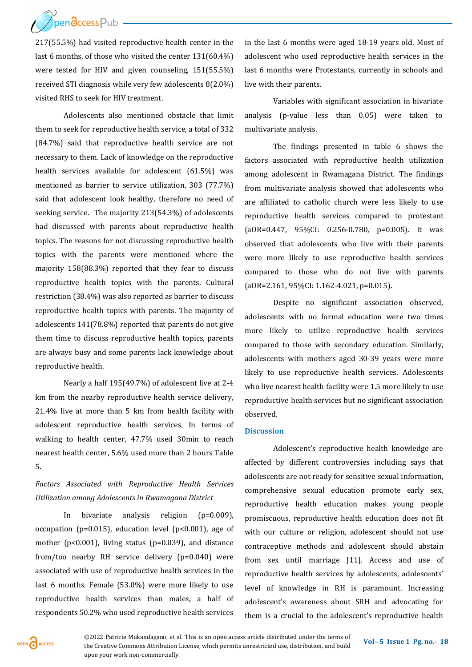/ Pendccess Pub

217(55.5%) had visited reproductive health center in the last 6 months, of those who visited the center 131(60.4%) were tested for HIV and given counseling, 151(55.5%) received STI diagnosis while very few adolescents 8(2.0%) visited RHS to seek for HIV treatment.

Adolescents also mentioned obstacle that limit them to seek for reproductive health service, a total of 332 (84.7%) said that reproductive health service are not necessary to them. Lack of knowledge on the reproductive health services available for adolescent (61.5%) was mentioned as barrier to service utilization, 303 (77.7%) said that adolescent look healthy, therefore no need of seeking service. The majority 213(54.3%) of adolescents had discussed with parents about reproductive health topics. The reasons for not discussing reproductive health topics with the parents were mentioned where the majority 158(88.3%) reported that they fear to discuss reproductive health topics with the parents. Cultural restriction (38.4%) was also reported as barrier to discuss reproductive health topics with parents. The majority of adolescents 141(78.8%) reported that parents do not give them time to discuss reproductive health topics, parents are always busy and some parents lack knowledge about reproductive health.

Nearly a half 195(49.7%) of adolescent live at 2-4 km from the nearby reproductive health service delivery, 21.4% live at more than 5 km from health facility with adolescent reproductive health services. In terms of walking to health center, 47.7% used 30min to reach nearest health center, 5.6% used more than 2 hours Table 5.

*Factors Associated with Reproductive Health Services Utilization among Adolescents in Rwamagana District*

In bivariate analysis religion (p=0.009), occupation (p=0.015), education level (p<0.001), age of mother (p<0.001), living status (p=0.039), and distance from/too nearby RH service delivery (p=0.040) were associated with use of reproductive health services in the last 6 months. Female (53.0%) were more likely to use reproductive health services than males, a half of respondents 50.2% who used reproductive health services

in the last 6 months were aged 18-19 years old. Most of adolescent who used reproductive health services in the last 6 months were Protestants, currently in schools and live with their parents.

Variables with significant association in bivariate analysis (p-value less than 0.05) were taken to multivariate analysis.

The findings presented in table 6 shows the factors associated with reproductive health utilization among adolescent in Rwamagana District. The findings from multivariate analysis showed that adolescents who are affiliated to catholic church were less likely to use reproductive health services compared to protestant (aOR=0.447, 95%CI: 0.256-0.780, p=0.005). It was observed that adolescents who live with their parents were more likely to use reproductive health services compared to those who do not live with parents (aOR=2.161, 95%CI: 1.162-4.021, p=0.015).

Despite no significant association observed, adolescents with no formal education were two times more likely to utilize reproductive health services compared to those with secondary education. Similarly, adolescents with mothers aged 30-39 years were more likely to use reproductive health services. Adolescents who live nearest health facility were 1.5 more likely to use reproductive health services but no significant association observed.

#### **Discussion**

Adolescent's reproductive health knowledge are affected by different controversies including says that adolescents are not ready for sensitive sexual information, comprehensive sexual education promote early sex, reproductive health education makes young people promiscuous, reproductive health education does not fit with our culture or religion, adolescent should not use contraceptive methods and adolescent should abstain from sex until marriage [11]. Access and use of reproductive health services by adolescents, adolescents' level of knowledge in RH is paramount. Increasing adolescent's awareness about SRH and advocating for them is a crucial to the adolescent's reproductive health

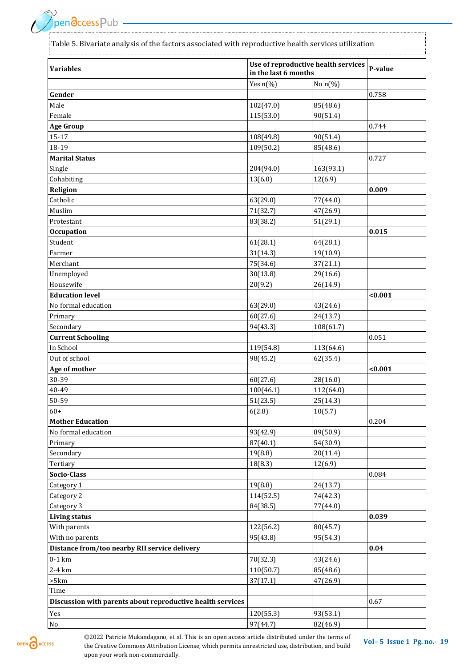Table 5. Bivariate analysis of the factors associated with reproductive health services utilization

| <b>Variables</b>                                           | Use of reproductive health services<br>in the last 6 months |                      | P-value |
|------------------------------------------------------------|-------------------------------------------------------------|----------------------|---------|
|                                                            | Yes $n$ (%)                                                 | No $n$ (%)           |         |
| Gender                                                     |                                                             |                      | 0.758   |
| Male                                                       | 102(47.0)                                                   | 85(48.6)             |         |
| Female                                                     | 115(53.0)                                                   | 90(51.4)             |         |
| <b>Age Group</b>                                           |                                                             |                      | 0.744   |
| $15 - 17$                                                  | 108(49.8)                                                   | 90(51.4)             |         |
| 18-19                                                      | 109(50.2)                                                   | 85(48.6)             |         |
| <b>Marital Status</b>                                      |                                                             |                      | 0.727   |
| Single                                                     | 204(94.0)                                                   | 163(93.1)            |         |
| Cohabiting                                                 | 13(6.0)                                                     | 12(6.9)              |         |
| Religion                                                   |                                                             |                      | 0.009   |
| Catholic                                                   | 63(29.0)                                                    | 77(44.0)             |         |
| Muslim                                                     | 71(32.7)                                                    | 47(26.9)             |         |
| Protestant                                                 | 83(38.2)                                                    | 51(29.1)             |         |
| <b>Occupation</b>                                          |                                                             |                      | 0.015   |
| Student                                                    | 61(28.1)                                                    | 64(28.1)             |         |
| Farmer                                                     | 31(14.3)                                                    | 19(10.9)             |         |
| Merchant                                                   | 75(34.6)                                                    | 37(21.1)             |         |
| Unemployed                                                 | 30(13.8)                                                    | 29(16.6)             |         |
| Housewife                                                  | 20(9.2)                                                     | 26(14.9)             |         |
| <b>Education level</b>                                     |                                                             |                      | < 0.001 |
| No formal education                                        | 63(29.0)                                                    | 43(24.6)             |         |
| Primary                                                    | 60(27.6)                                                    | 24(13.7)             |         |
| Secondary                                                  | 94(43.3)                                                    | 108(61.7)            |         |
| <b>Current Schooling</b>                                   |                                                             |                      | 0.051   |
| In School                                                  | 119(54.8)                                                   | 113(64.6)            |         |
| Out of school                                              | 98(45.2)                                                    | 62(35.4)             |         |
| Age of mother                                              |                                                             |                      | < 0.001 |
| 30-39                                                      | 60(27.6)                                                    | 28(16.0)             |         |
| 40-49                                                      | 100(46.1)                                                   | 112(64.0)            |         |
| 50-59                                                      | 51(23.5)                                                    | 25(14.3)             |         |
| $60+$                                                      | 6(2.8)                                                      | 10(5.7)              |         |
| <b>Mother Education</b>                                    |                                                             |                      | 0.204   |
| No formal education                                        | 93(42.9)                                                    | 89(50.9)             |         |
| Primary                                                    | 87(40.1)                                                    | 54(30.9)             |         |
| Secondary                                                  | 19(8.8)                                                     | 20(11.4)             |         |
| Tertiary                                                   | 18(8.3)                                                     | 12(6.9)              |         |
| Socio-Class                                                |                                                             |                      | 0.084   |
|                                                            |                                                             |                      |         |
| Category 1                                                 | 19(8.8)                                                     | 24(13.7)             |         |
| Category 2                                                 | 114(52.5)                                                   | 74(42.3)<br>77(44.0) |         |
| Category 3                                                 | 84(38.5)                                                    |                      |         |
| <b>Living status</b>                                       |                                                             |                      | 0.039   |
| With parents                                               | 122(56.2)                                                   | 80(45.7)             |         |
| With no parents                                            | 95(43.8)                                                    | 95(54.3)             |         |
| Distance from/too nearby RH service delivery               |                                                             |                      | 0.04    |
| $0-1$ km                                                   | 70(32.3)                                                    | 43(24.6)             |         |
| 2-4 km                                                     | 110(50.7)                                                   | 85(48.6)             |         |
| >5km                                                       | 37(17.1)                                                    | 47(26.9)             |         |
| Time                                                       |                                                             |                      |         |
| Discussion with parents about reproductive health services |                                                             |                      | 0.67    |
| Yes                                                        | 120(55.3)                                                   | 93(53.1)             |         |
| $\rm No$                                                   | 97(44.7)                                                    | 82(46.9)             |         |

OPEN CACCESS

**©2022 Patricie Mukandagano, et al. This is an open access article distributed under the terms of <b>Vol–5** Issue 1 Pg. no.- 19 the Creative Commons Attribution License, which permits unrestricted use, distribution, and build upon your work non-commercially.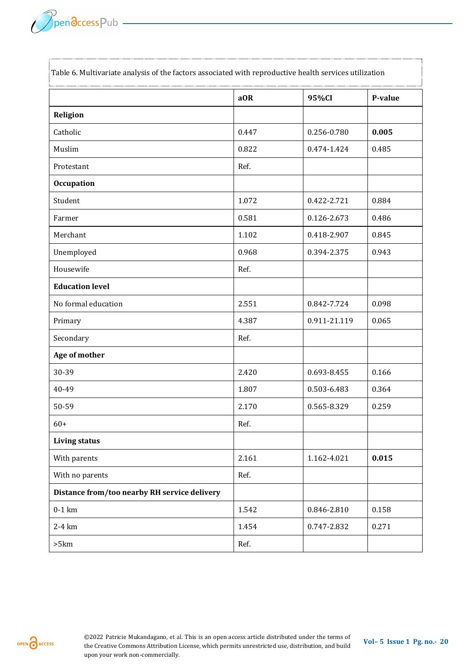|                                              | aOR   | 95%CI        | P-value |
|----------------------------------------------|-------|--------------|---------|
| Religion                                     |       |              |         |
| Catholic                                     | 0.447 | 0.256-0.780  | 0.005   |
| Muslim                                       | 0.822 | 0.474-1.424  | 0.485   |
| Protestant                                   | Ref.  |              |         |
| <b>Occupation</b>                            |       |              |         |
| Student                                      | 1.072 | 0.422-2.721  | 0.884   |
| Farmer                                       | 0.581 | 0.126-2.673  | 0.486   |
| Merchant                                     | 1.102 | 0.418-2.907  | 0.845   |
| Unemployed                                   | 0.968 | 0.394-2.375  | 0.943   |
| Housewife                                    | Ref.  |              |         |
| <b>Education level</b>                       |       |              |         |
| No formal education                          | 2.551 | 0.842-7.724  | 0.098   |
| Primary                                      | 4.387 | 0.911-21.119 | 0.065   |
| Secondary                                    | Ref.  |              |         |
| Age of mother                                |       |              |         |
| 30-39                                        | 2.420 | 0.693-8.455  | 0.166   |
| 40-49                                        | 1.807 | 0.503-6.483  | 0.364   |
| 50-59                                        | 2.170 | 0.565-8.329  | 0.259   |
| $60+$                                        | Ref.  |              |         |
| <b>Living status</b>                         |       |              |         |
| With parents                                 | 2.161 | 1.162-4.021  | 0.015   |
| With no parents                              | Ref.  |              |         |
| Distance from/too nearby RH service delivery |       |              |         |
| $0-1$ km                                     | 1.542 | 0.846-2.810  | 0.158   |
| 2-4 km                                       | 1.454 | 0.747-2.832  | 0.271   |
| >5km                                         | Ref.  |              |         |

 $\tau$  and  $\epsilon$  . Multivariate analysis of the factors associated with reproductive health services utilization

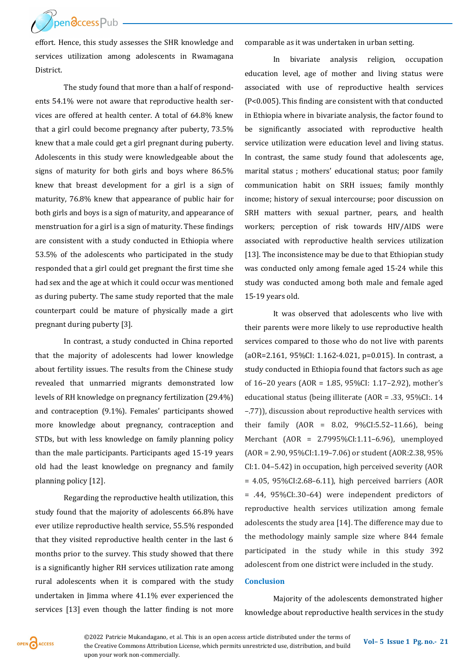**ThendccessPub** 

effort. Hence, this study assesses the SHR knowledge and services utilization among adolescents in Rwamagana District.

The study found that more than a half of respondents 54.1% were not aware that reproductive health services are offered at health center. A total of 64.8% knew that a girl could become pregnancy after puberty, 73.5% knew that a male could get a girl pregnant during puberty. Adolescents in this study were knowledgeable about the signs of maturity for both girls and boys where 86.5% knew that breast development for a girl is a sign of maturity, 76.8% knew that appearance of public hair for both girls and boys is a sign of maturity, and appearance of menstruation for a girl is a sign of maturity. These findings are consistent with a study conducted in Ethiopia where 53.5% of the adolescents who participated in the study responded that a girl could get pregnant the first time she had sex and the age at which it could occur was mentioned as during puberty. The same study reported that the male counterpart could be mature of physically made a girt pregnant during puberty [3].

In contrast, a study conducted in China reported that the majority of adolescents had lower knowledge about fertility issues. The results from the Chinese study revealed that unmarried migrants demonstrated low levels of RH knowledge on pregnancy fertilization (29.4%) and contraception (9.1%). Females' participants showed more knowledge about pregnancy, contraception and STDs, but with less knowledge on family planning policy than the male participants. Participants aged 15-19 years old had the least knowledge on pregnancy and family planning policy [12].

Regarding the reproductive health utilization, this study found that the majority of adolescents 66.8% have ever utilize reproductive health service, 55.5% responded that they visited reproductive health center in the last 6 months prior to the survey. This study showed that there is a significantly higher RH services utilization rate among rural adolescents when it is compared with the study undertaken in Jimma where 41.1% ever experienced the services [13] even though the latter finding is not more comparable as it was undertaken in urban setting.

In bivariate analysis religion, occupation education level, age of mother and living status were associated with use of reproductive health services (P<0.005). This finding are consistent with that conducted in Ethiopia where in bivariate analysis, the factor found to be significantly associated with reproductive health service utilization were education level and living status. In contrast, the same study found that adolescents age, marital status ; mothers' educational status; poor family communication habit on SRH issues; family monthly income; history of sexual intercourse; poor discussion on SRH matters with sexual partner, pears, and health workers; perception of risk towards HIV/AIDS were associated with reproductive health services utilization [13]. The inconsistence may be due to that Ethiopian study was conducted only among female aged 15-24 while this study was conducted among both male and female aged 15-19 years old.

It was observed that adolescents who live with their parents were more likely to use reproductive health services compared to those who do not live with parents (aOR=2.161, 95%CI: 1.162-4.021, p=0.015). In contrast, a study conducted in Ethiopia found that factors such as age of 16–20 years (AOR = 1.85, 95%CI: 1.17–2.92), mother's educational status (being illiterate (AOR = .33, 95%CI:. 14 –.77)), discussion about reproductive health services with their family (AOR = 8.02, 9%CI:5.52–11.66), being Merchant (AOR = 2.7995%CI:1.11–6.96), unemployed (AOR = 2.90, 95%CI:1.19–7.06) or student (AOR:2.38, 95% CI:1. 04–5.42) in occupation, high perceived severity (AOR = 4.05, 95%CI:2.68–6.11), high perceived barriers (AOR = .44, 95%CI:.30–64) were independent predictors of reproductive health services utilization among female adolescents the study area [14]. The difference may due to the methodology mainly sample size where 844 female participated in the study while in this study 392 adolescent from one district were included in the study.

#### **Conclusion**

Majority of the adolescents demonstrated higher knowledge about reproductive health services in the study